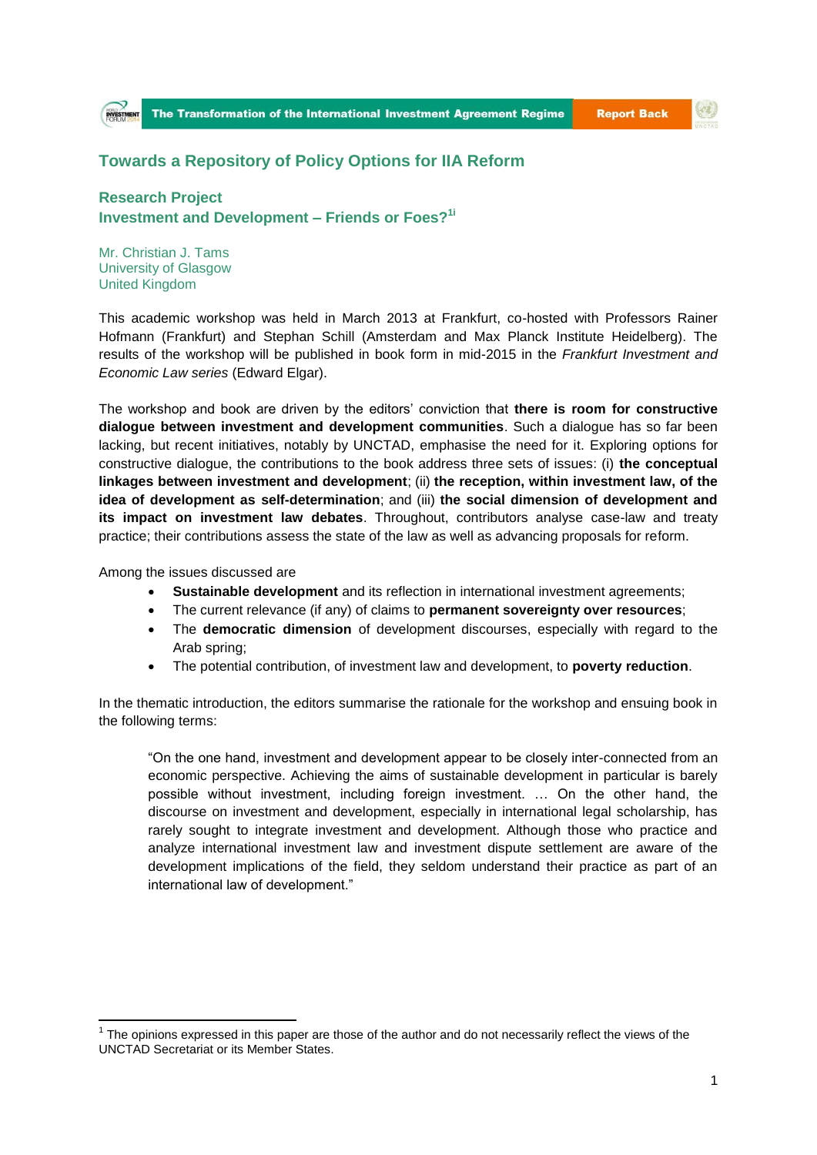**Report Back** 



## **Towards a Repository of Policy Options for IIA Reform**

**Research Project Investment and Development – Friends or Foes?1i**

Mr. Christian J. Tams University of Glasgow United Kingdom

This academic workshop was held in March 2013 at Frankfurt, co-hosted with Professors Rainer Hofmann (Frankfurt) and Stephan Schill (Amsterdam and Max Planck Institute Heidelberg). The results of the workshop will be published in book form in mid-2015 in the *[Frankfurt Investment and](http://www.e-elgar.com/search_results.lasso?series_title=Frankfurt%20Investment%20and%20Economic%20Law%20series&site_Law=Yes)  [Economic Law series](http://www.e-elgar.com/search_results.lasso?series_title=Frankfurt%20Investment%20and%20Economic%20Law%20series&site_Law=Yes)* (Edward Elgar).

The workshop and book are driven by the editors' conviction that **there is room for constructive dialogue between investment and development communities**. Such a dialogue has so far been lacking, but recent initiatives, notably by UNCTAD, emphasise the need for it. Exploring options for constructive dialogue, the contributions to the book address three sets of issues: (i) **the conceptual linkages between investment and development**; (ii) **the reception, within investment law, of the idea of development as self-determination**; and (iii) **the social dimension of development and its impact on investment law debates**. Throughout, contributors analyse case-law and treaty practice; their contributions assess the state of the law as well as advancing proposals for reform.

Among the issues discussed are

**.** 

- **Sustainable development** and its reflection in international investment agreements;
- The current relevance (if any) of claims to **permanent sovereignty over resources**;
- The **democratic dimension** of development discourses, especially with regard to the Arab spring;
- The potential contribution, of investment law and development, to **poverty reduction**.

In the thematic introduction, the editors summarise the rationale for the workshop and ensuing book in the following terms:

"On the one hand, investment and development appear to be closely inter-connected from an economic perspective. Achieving the aims of sustainable development in particular is barely possible without investment, including foreign investment. … On the other hand, the discourse on investment and development, especially in international legal scholarship, has rarely sought to integrate investment and development. Although those who practice and analyze international investment law and investment dispute settlement are aware of the development implications of the field, they seldom understand their practice as part of an international law of development."

 $1$  The opinions expressed in this paper are those of the author and do not necessarily reflect the views of the UNCTAD Secretariat or its Member States.